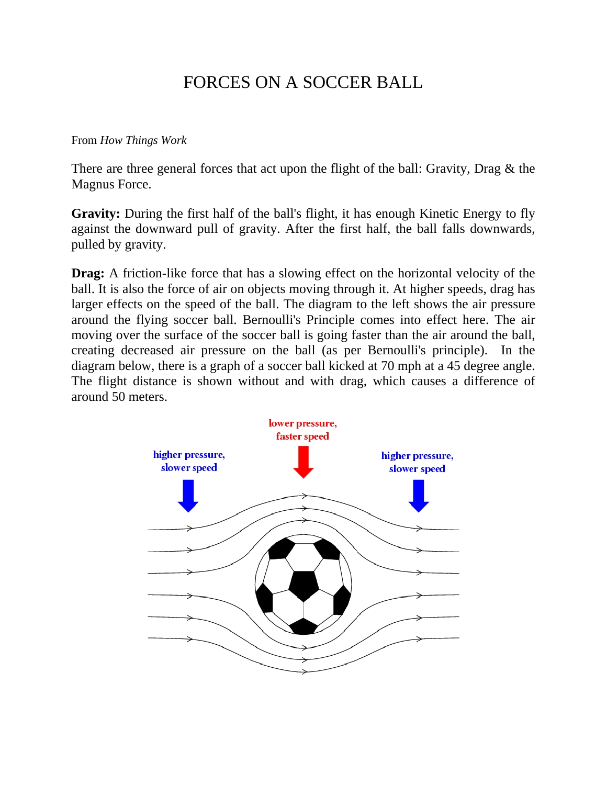## FORCES ON A SOCCER BALL

## From *How Things Work*

There are three general forces that act upon the flight of the ball: Gravity, Drag & the Magnus Force.

**Gravity:** During the first half of the ball's flight, it has enough Kinetic Energy to fly against the downward pull of gravity. After the first half, the ball falls downwards, pulled by gravity.

**Drag:** A friction-like force that has a slowing effect on the horizontal velocity of the ball. It is also the force of air on objects moving through it. At higher speeds, drag has larger effects on the speed of the ball. The diagram to the left shows the air pressure around the flying soccer ball. Bernoulli's Principle comes into effect here. The air moving over the surface of the soccer ball is going faster than the air around the ball, creating decreased air pressure on the ball (as per Bernoulli's principle). In the diagram below, there is a graph of a soccer ball kicked at 70 mph at a 45 degree angle. The flight distance is shown without and with drag, which causes a difference of around 50 meters.

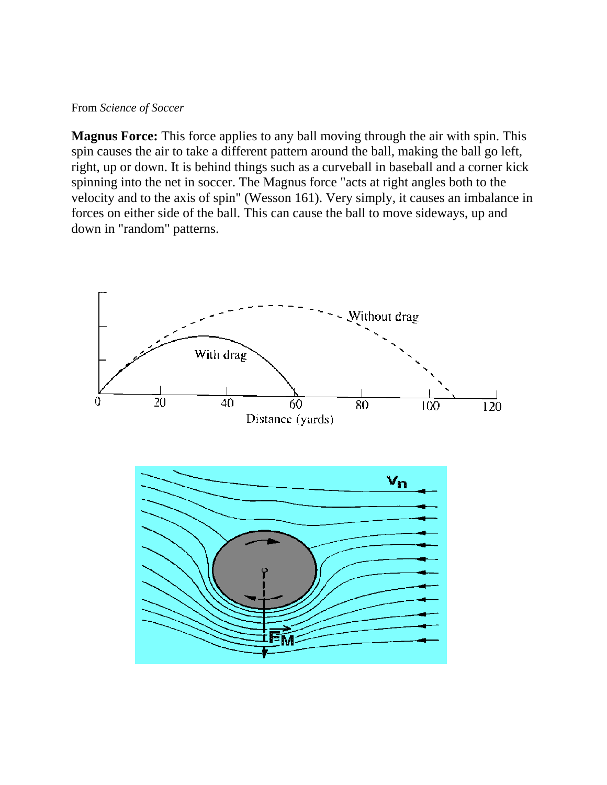## From *Science of Soccer*

**Magnus Force:** This force applies to any ball moving through the air with spin. This spin causes the air to take a different pattern around the ball, making the ball go left, right, up or down. It is behind things such as a curveball in baseball and a corner kick spinning into the net in soccer. The Magnus force "acts at right angles both to the velocity and to the axis of spin" (Wesson 161). Very simply, it causes an imbalance in forces on either side of the ball. This can cause the ball to move sideways, up and down in "random" patterns.